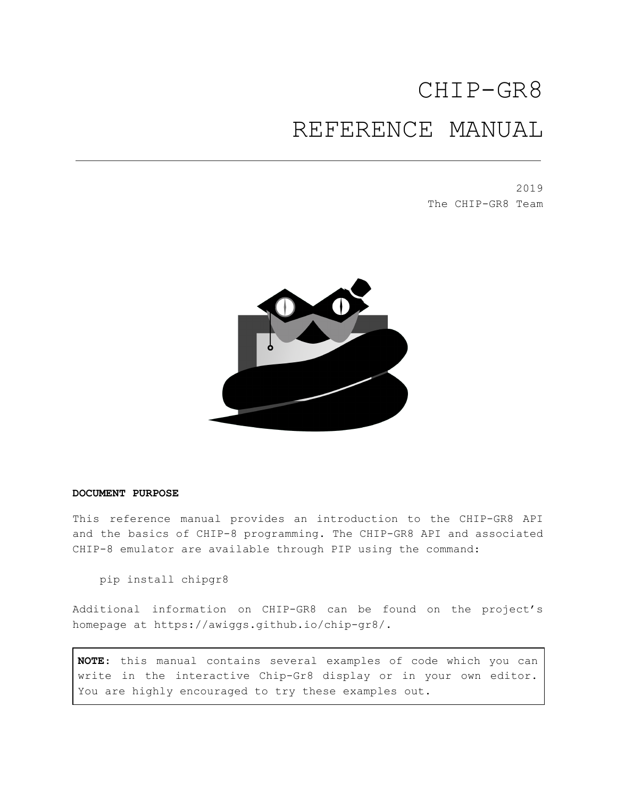# CHIP-GR8 REFERENCE MANUAL

2019 The CHIP-GR8 Team



# **DOCUMENT PURPOSE**

This reference manual provides an introduction to the CHIP-GR8 API and the basics of CHIP-8 programming. The CHIP-GR8 API and associated CHIP-8 emulator are available through PIP using the command:

pip install chipgr8

Additional information on CHIP-GR8 can be found on the project's homepage at https://awiggs.github.io/chip-gr8/.

**NOTE**: this manual contains several examples of code which you can write in the interactive Chip-Gr8 display or in your own editor. You are highly encouraged to try these examples out.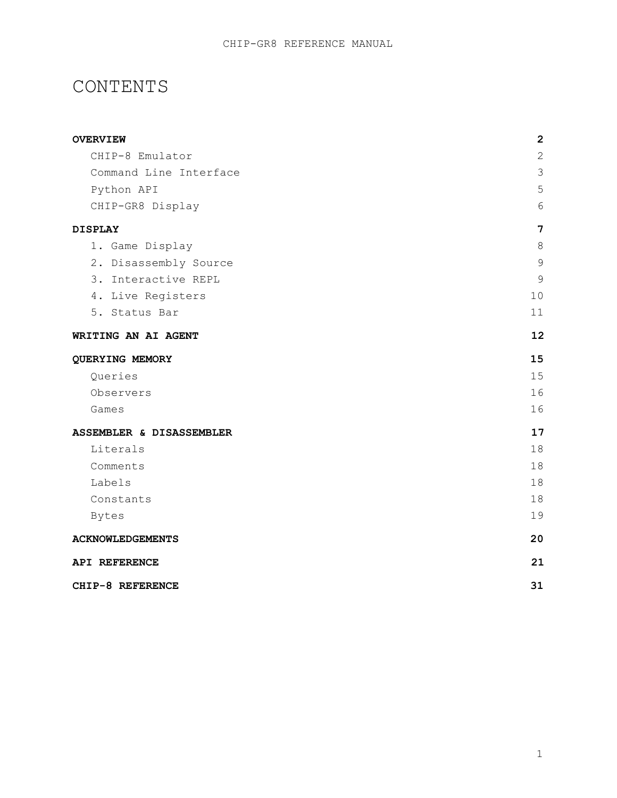# CONTENTS

| <b>OVERVIEW</b>          | $\mathbf{2}$   |
|--------------------------|----------------|
| CHIP-8 Emulator          | $\mathbf{2}$   |
| Command Line Interface   | 3              |
| Python API               | 5              |
| CHIP-GR8 Display         | 6              |
| <b>DISPLAY</b>           | $\overline{7}$ |
| 1. Game Display          | $\,8\,$        |
| 2. Disassembly Source    | $\mathcal{G}$  |
| 3. Interactive REPL      | $\mathcal{G}$  |
| 4. Live Registers        | 10             |
| 5. Status Bar            | 11             |
| WRITING AN AI AGENT      | 12             |
| QUERYING MEMORY          | 15             |
| Queries                  | 15             |
| Observers                | 16             |
| Games                    | 16             |
| ASSEMBLER & DISASSEMBLER | 17             |
| Literals                 | 18             |
| Comments                 | 18             |
| Labels                   | 18             |
| Constants                | 18             |
| <b>Bytes</b>             | 19             |
| <b>ACKNOWLEDGEMENTS</b>  | 20             |
| API REFERENCE            | 21             |
| CHIP-8 REFERENCE         | 31             |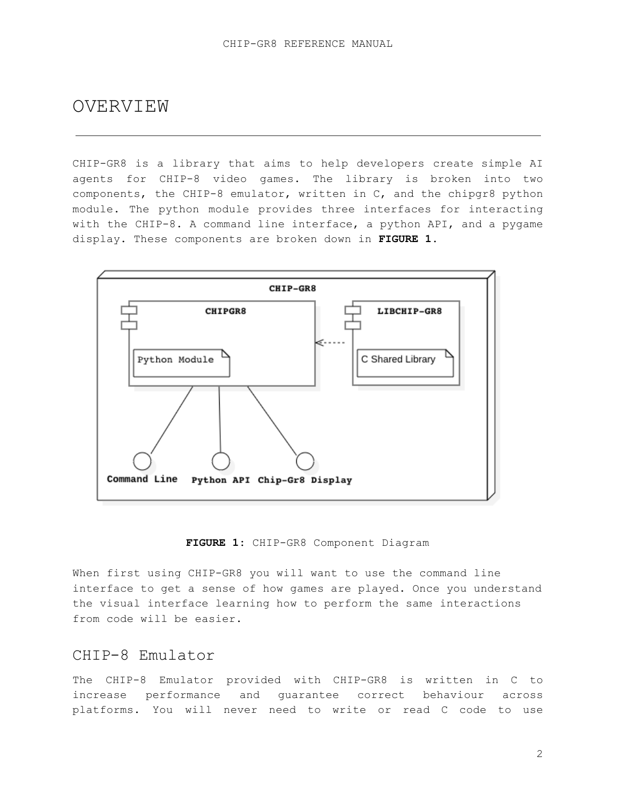# <span id="page-2-0"></span>OVERVIEW

CHIP-GR8 is a library that aims to help developers create simple AI agents for CHIP-8 video games. The library is broken into two components, the CHIP-8 emulator, written in C, and the chipgr8 python module. The python module provides three interfaces for interacting with the CHIP-8. A command line interface, a python API, and a pygame display. These components are broken down in **FIGURE 1**.



**FIGURE 1:** CHIP-GR8 Component Diagram

When first using CHIP-GR8 you will want to use the command line interface to get a sense of how games are played. Once you understand the visual interface learning how to perform the same interactions from code will be easier.

# <span id="page-2-1"></span>CHIP-8 Emulator

The CHIP-8 Emulator provided with CHIP-GR8 is written in C to increase performance and guarantee correct behaviour across platforms. You will never need to write or read C code to use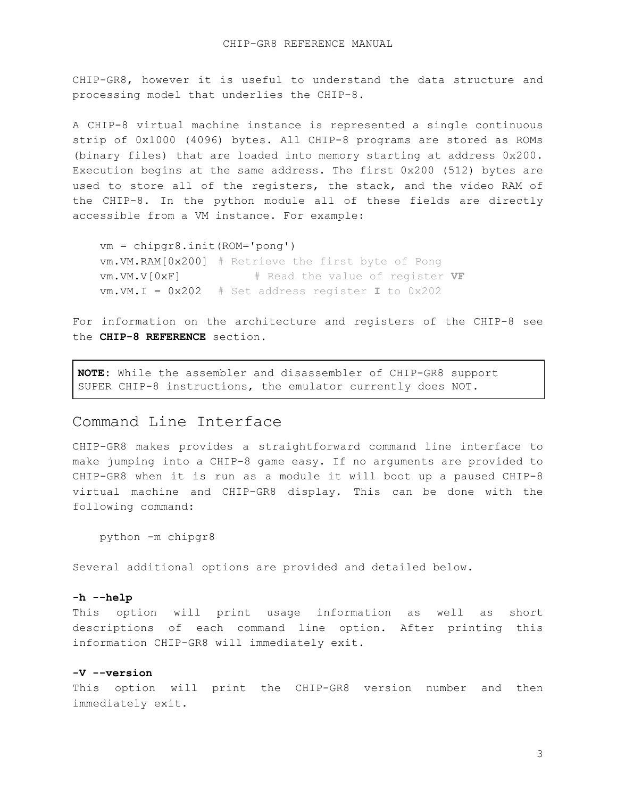CHIP-GR8, however it is useful to understand the data structure and processing model that underlies the CHIP-8.

A CHIP-8 virtual machine instance is represented a single continuous strip of 0x1000 (4096) bytes. All CHIP-8 programs are stored as ROMs (binary files) that are loaded into memory starting at address 0x200. Execution begins at the same address. The first 0x200 (512) bytes are used to store all of the registers, the stack, and the video RAM of the CHIP-8. In the python module all of these fields are directly accessible from a VM instance. For example:

vm = chipgr8.init(ROM='pong') vm.VM.RAM[0x200] # Retrieve the first byte of Pong vm.VM.V[0xF] # Read the value of register **VF** vm.VM.I = 0x202 # Set address register **I** to 0x202

For information on the architecture and registers of the CHIP-8 see the **CHIP-8 REFERENCE** section.

**NOTE:** While the assembler and disassembler of CHIP-GR8 support SUPER CHIP-8 instructions, the emulator currently does NOT.

# <span id="page-3-0"></span>Command Line Interface

CHIP-GR8 makes provides a straightforward command line interface to make jumping into a CHIP-8 game easy. If no arguments are provided to CHIP-GR8 when it is run as a module it will boot up a paused CHIP-8 virtual machine and CHIP-GR8 display. This can be done with the following command:

python -m chipgr8

Several additional options are provided and detailed below.

#### **-h --help**

This option will print usage information as well as short descriptions of each command line option. After printing this information CHIP-GR8 will immediately exit.

#### **-V --version**

This option will print the CHIP-GR8 version number and then immediately exit.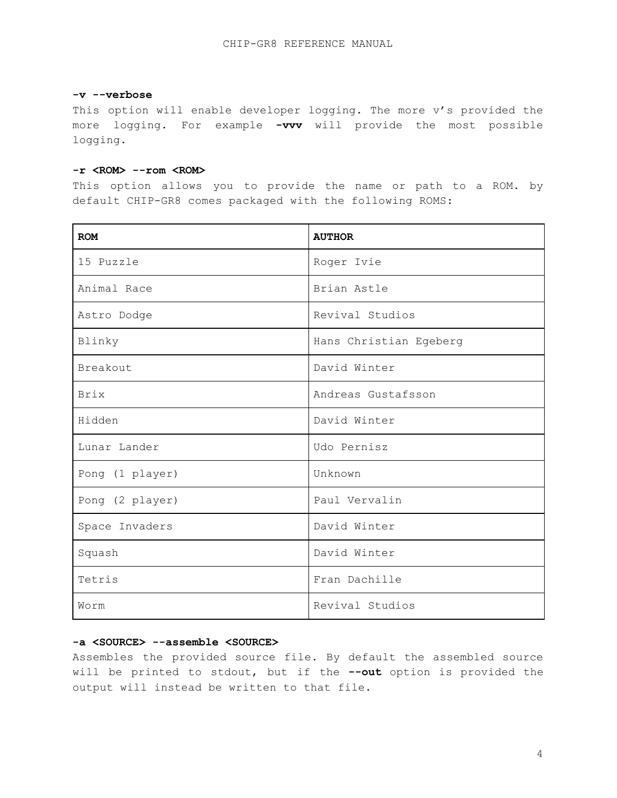# **-v --verbose**

This option will enable developer logging. The more v's provided the more logging. For example **-vvv** will provide the most possible logging.

# **-r <ROM> --rom <ROM>**

This option allows you to provide the name or path to a ROM. by default CHIP-GR8 comes packaged with the following ROMS:

| <b>ROM</b>      | <b>AUTHOR</b>          |
|-----------------|------------------------|
| 15 Puzzle       | Roger Ivie             |
| Animal Race     | Brian Astle            |
| Astro Dodge     | Revival Studios        |
| Blinky          | Hans Christian Egeberg |
| Breakout        | David Winter           |
| Brix            | Andreas Gustafsson     |
| Hidden          | David Winter           |
| Lunar Lander    | Udo Pernisz            |
| Pong (1 player) | Unknown                |
| Pong (2 player) | Paul Vervalin          |
| Space Invaders  | David Winter           |
| Squash          | David Winter           |
| Tetris          | Fran Dachille          |
| Worm            | Revival Studios        |

# **-a <SOURCE> --assemble <SOURCE>**

Assembles the provided source file. By default the assembled source will be printed to stdout, but if the **--out** option is provided the output will instead be written to that file.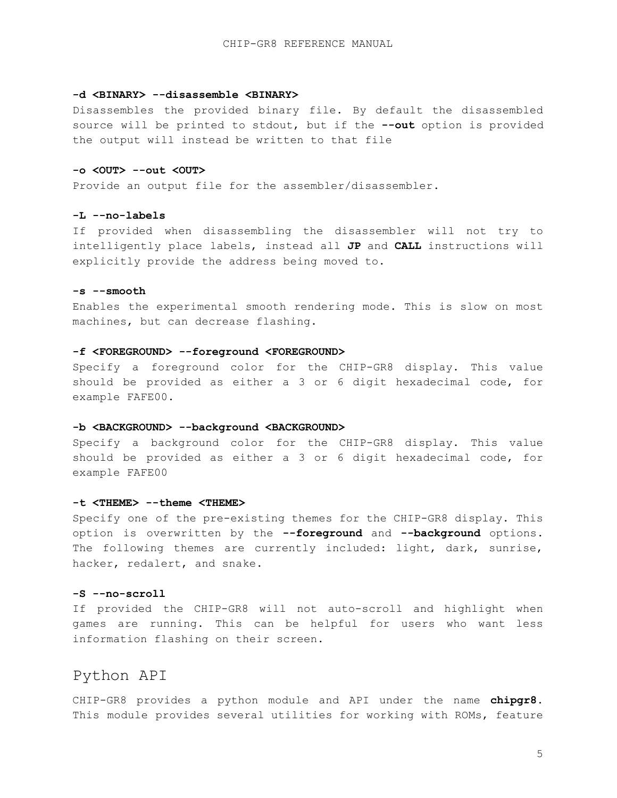### **-d <BINARY> --disassemble <BINARY>**

Disassembles the provided binary file. By default the disassembled source will be printed to stdout, but if the **--out** option is provided the output will instead be written to that file

#### **-o <OUT> --out <OUT>**

Provide an output file for the assembler/disassembler.

### **-L --no-labels**

If provided when disassembling the disassembler will not try to intelligently place labels, instead all **JP** and **CALL** instructions will explicitly provide the address being moved to.

### **-s --smooth**

Enables the experimental smooth rendering mode. This is slow on most machines, but can decrease flashing.

#### **-f <FOREGROUND> --foreground <FOREGROUND>**

Specify a foreground color for the CHIP-GR8 display. This value should be provided as either a 3 or 6 digit hexadecimal code, for example FAFE00.

#### **-b <BACKGROUND> --background <BACKGROUND>**

Specify a background color for the CHIP-GR8 display. This value should be provided as either a 3 or 6 digit hexadecimal code, for example FAFE00

#### **-t <THEME> --theme <THEME>**

Specify one of the pre-existing themes for the CHIP-GR8 display. This option is overwritten by the **--foreground** and **--background** options. The following themes are currently included: light, dark, sunrise, hacker, redalert, and snake.

#### **-S --no-scroll**

If provided the CHIP-GR8 will not auto-scroll and highlight when games are running. This can be helpful for users who want less information flashing on their screen.

# <span id="page-5-0"></span>Python API

CHIP-GR8 provides a python module and API under the name **chipgr8.** This module provides several utilities for working with ROMs, feature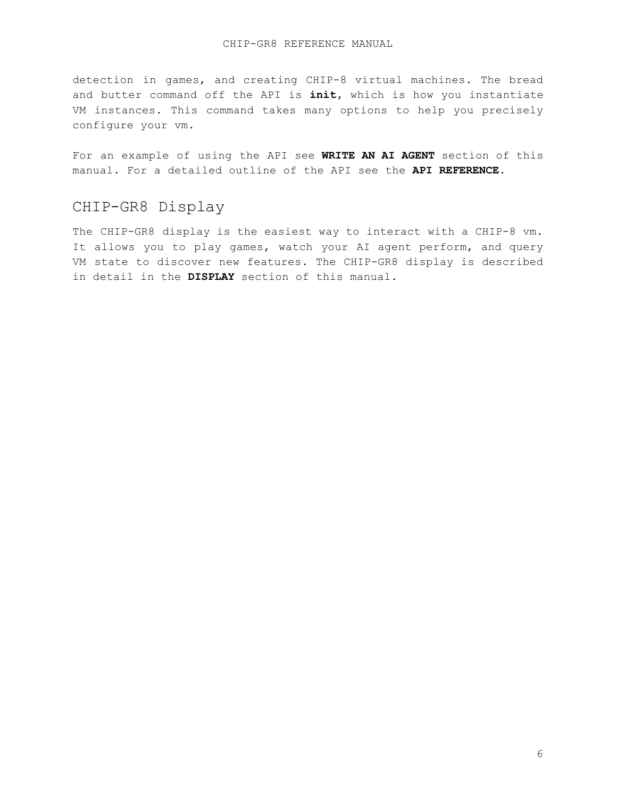detection in games, and creating CHIP-8 virtual machines. The bread and butter command off the API is **init,** which is how you instantiate VM instances. This command takes many options to help you precisely configure your vm.

For an example of using the API see **WRITE AN AI AGENT** section of this manual. For a detailed outline of the API see the **API REFERENCE**.

# <span id="page-6-0"></span>CHIP-GR8 Display

The CHIP-GR8 display is the easiest way to interact with a CHIP-8 vm. It allows you to play games, watch your AI agent perform, and query VM state to discover new features. The CHIP-GR8 display is described in detail in the **DISPLAY** section of this manual.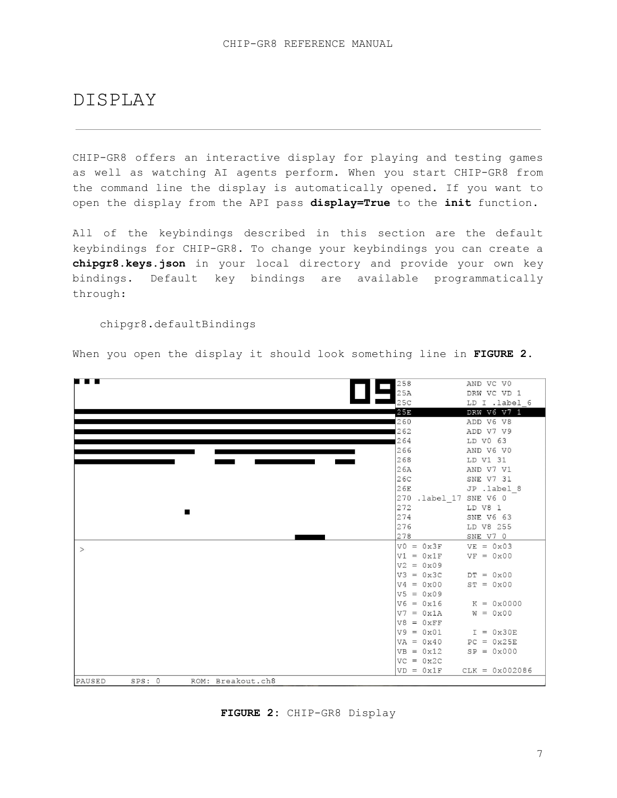# <span id="page-7-0"></span>DISPLAY

CHIP-GR8 offers an interactive display for playing and testing games as well as watching AI agents perform. When you start CHIP-GR8 from the command line the display is automatically opened. If you want to open the display from the API pass **display=True** to the **init** function.

All of the keybindings described in this section are the default keybindings for CHIP-GR8. To change your keybindings you can create a **chipgr8.keys.json** in your local directory and provide your own key bindings. Default key bindings are available programmatically through:

# chipgr8.defaultBindings

When you open the display it should look something line in **FIGURE 2**.

| . | 258                       | AND VC VO         |
|---|---------------------------|-------------------|
|   | 25A                       | DRW VC VD 1       |
|   | 25 <sub>C</sub>           | LD I .label 6     |
|   | 25E                       | DRW V6 V7 1       |
|   | 260                       | ADD V6 V8         |
|   | 262                       | ADD V7 V9         |
|   | 264                       | LD V0 63          |
|   | 266                       | AND V6 V0         |
|   | 268                       | LD V1 31          |
|   | 26A                       | AND V7 V1         |
|   | 26C                       | SNE V7 31         |
|   | 26E                       | JP .label 8       |
|   | 270<br>.label 17 SNE V6 0 |                   |
|   | 272                       | LD V8 1           |
|   | 274                       | SNE V6 63         |
|   | 276                       | LD V8 255         |
|   | 278                       | SNE V7 0          |
| > | $VO = 0x3F$               | $VE = 0x03$       |
|   | $V1 = 0x1F$               | $VF = 0x00$       |
|   | $V2 = 0x09$               |                   |
|   | $V3 = 0 \times 3C$        | $DT = 0x00$       |
|   | $V4 = 0x00$               | $ST = 0x00$       |
|   | $V5 = 0x09$               |                   |
|   |                           |                   |
|   | $V6 = 0x16$               | $K = 0x0000$      |
|   | $V7 = 0x1A$               | $W = 0 \times 00$ |
|   | $V8 = 0xFF$               |                   |
|   | $V9 = 0x01$               | $I = 0x30E$       |
|   | $VA = 0x40$               | $PC = 0x25E$      |
|   | $VB = 0x12$               | $SP = 0x000$      |
|   | $VC = 0x2C$               |                   |
|   | $VD = 0x1F$               | $CLK = 0x002086$  |

**FIGURE 2:** CHIP-GR8 Display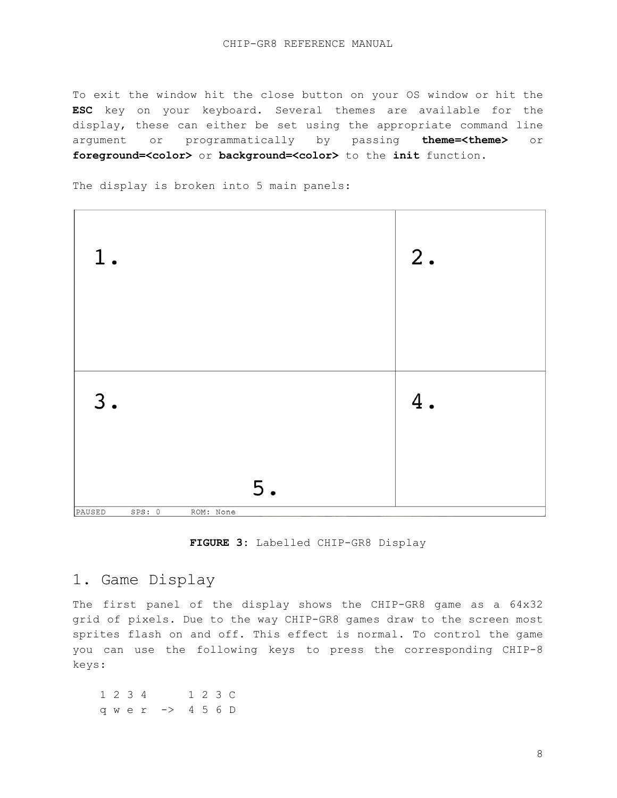To exit the window hit the close button on your OS window or hit the **ESC** key on your keyboard. Several themes are available for the display, these can either be set using the appropriate command line argument or programmatically by passing **theme=<theme>** or **foreground=<color>** or **background=<color>** to the **init** function.

The display is broken into 5 main panels:



**FIGURE 3:** Labelled CHIP-GR8 Display

# <span id="page-8-0"></span>1. Game Display

The first panel of the display shows the CHIP-GR8 game as a 64x32 grid of pixels. Due to the way CHIP-GR8 games draw to the screen most sprites flash on and off. This effect is normal. To control the game you can use the following keys to press the corresponding CHIP-8 keys:

1 2 3 4 1 2 3 C q w e r -> 4 5 6 D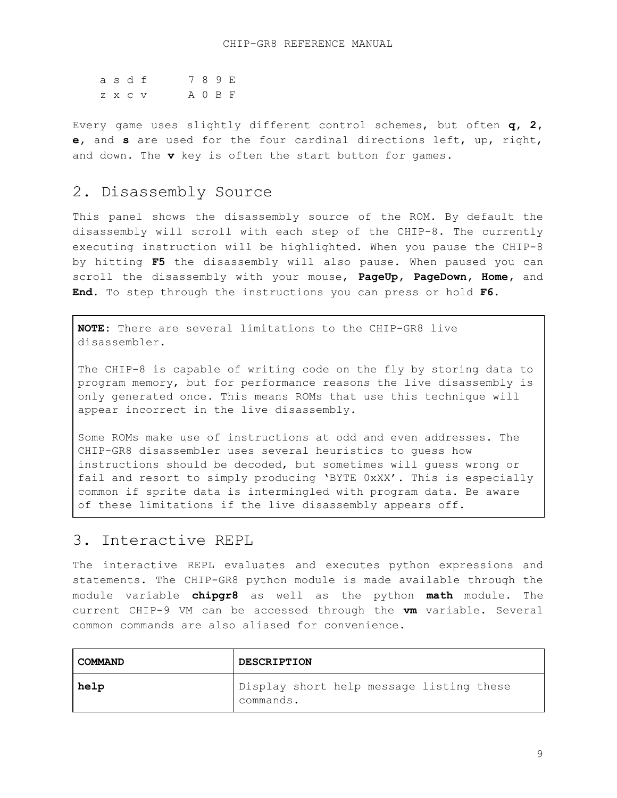| asdf    |  |  | 789E    |  |
|---------|--|--|---------|--|
| Z X C V |  |  | A O B F |  |

Every game uses slightly different control schemes, but often **q, 2, e,** and **s** are used for the four cardinal directions left, up, right, and down. The **v** key is often the start button for games.

# <span id="page-9-0"></span>2. Disassembly Source

This panel shows the disassembly source of the ROM. By default the disassembly will scroll with each step of the CHIP-8. The currently executing instruction will be highlighted. When you pause the CHIP-8 by hitting **F5** the disassembly will also pause. When paused you can scroll the disassembly with your mouse, **PageUp, PageDown, Home,** and **End**. To step through the instructions you can press or hold **F6**.

**NOTE:** There are several limitations to the CHIP-GR8 live disassembler.

The CHIP-8 is capable of writing code on the fly by storing data to program memory, but for performance reasons the live disassembly is only generated once. This means ROMs that use this technique will appear incorrect in the live disassembly.

Some ROMs make use of instructions at odd and even addresses. The CHIP-GR8 disassembler uses several heuristics to guess how instructions should be decoded, but sometimes will guess wrong or fail and resort to simply producing 'BYTE 0xXX'. This is especially common if sprite data is intermingled with program data. Be aware of these limitations if the live disassembly appears off.

# <span id="page-9-1"></span>3. Interactive REPL

The interactive REPL evaluates and executes python expressions and statements. The CHIP-GR8 python module is made available through the module variable **chipgr8** as well as the python **math** module. The current CHIP-9 VM can be accessed through the **vm** variable. Several common commands are also aliased for convenience.

| COMMAND | <b>DESCRIPTION</b>                                    |  |
|---------|-------------------------------------------------------|--|
| help    | Display short help message listing these<br>commands. |  |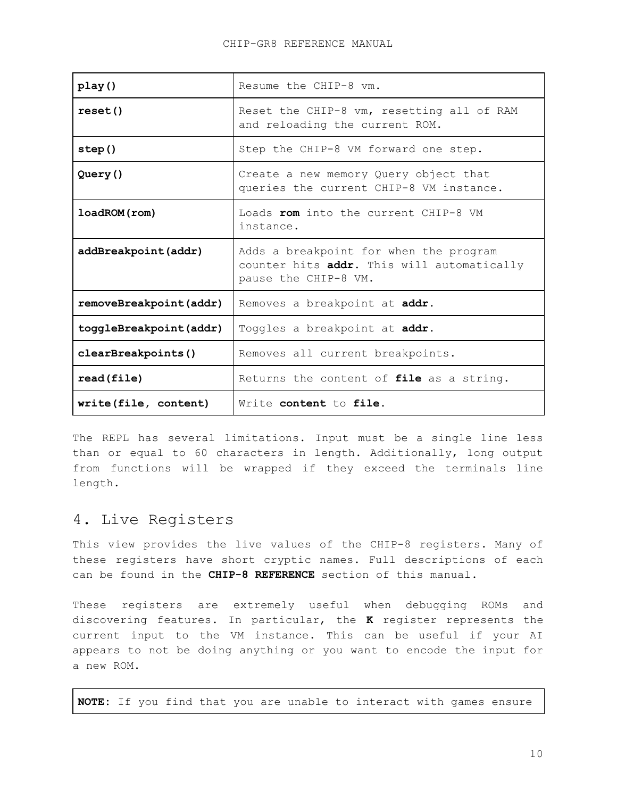| play()                 | Resume the CHIP-8 vm.                                                                                        |
|------------------------|--------------------------------------------------------------------------------------------------------------|
| reset()                | Reset the CHIP-8 vm, resetting all of RAM<br>and reloading the current ROM.                                  |
| step()                 | Step the CHIP-8 VM forward one step.                                                                         |
| Query()                | Create a new memory Query object that<br>queries the current CHIP-8 VM instance.                             |
| loadROM(rom)           | Loads rom into the current CHIP-8 VM<br>instance.                                                            |
| addBreakpoint(addr)    | Adds a breakpoint for when the program<br>counter hits addr. This will automatically<br>pause the CHIP-8 VM. |
| removeBreakpoint(addr) | Removes a breakpoint at addr.                                                                                |
| toggleBreakpoint(addr) | Toggles a breakpoint at addr.                                                                                |
| clearBreakpoints()     | Removes all current breakpoints.                                                                             |
| read (file)            | Returns the content of file as a string.                                                                     |
| write(file, content)   | Write content to file.                                                                                       |

The REPL has several limitations. Input must be a single line less than or equal to 60 characters in length. Additionally, long output from functions will be wrapped if they exceed the terminals line length.

# <span id="page-10-0"></span>4. Live Registers

This view provides the live values of the CHIP-8 registers. Many of these registers have short cryptic names. Full descriptions of each can be found in the **CHIP-8 REFERENCE** section of this manual.

These registers are extremely useful when debugging ROMs and discovering features. In particular, the **K** register represents the current input to the VM instance. This can be useful if your AI appears to not be doing anything or you want to encode the input for a new ROM.

**NOTE:** If you find that you are unable to interact with games ensure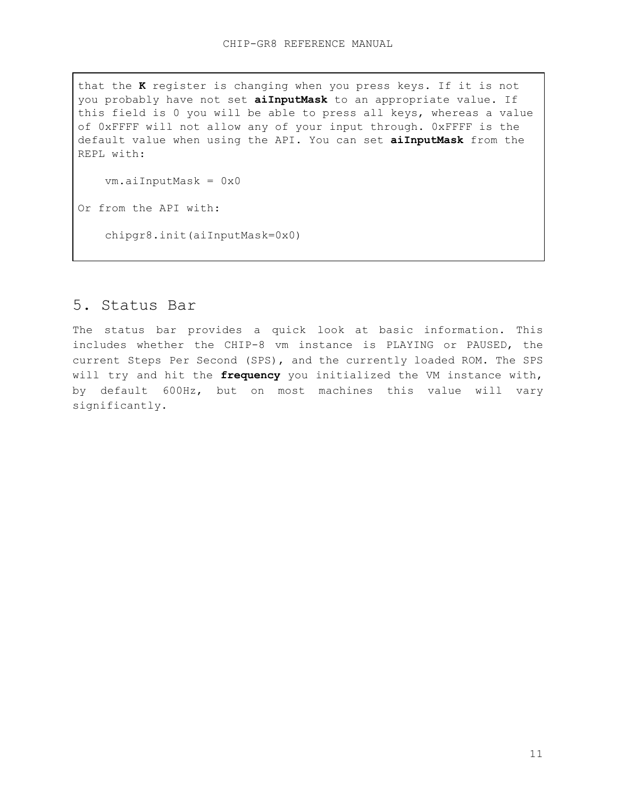that the **K** register is changing when you press keys. If it is not you probably have not set **aiInputMask** to an appropriate value. If this field is 0 you will be able to press all keys, whereas a value of 0xFFFF will not allow any of your input through. 0xFFFF is the default value when using the API. You can set **aiInputMask** from the REPL with:

```
vm.aiInputMask = 0x0
```
Or from the API with:

chipgr8.init(aiInputMask=0x0)

# <span id="page-11-0"></span>5. Status Bar

The status bar provides a quick look at basic information. This includes whether the CHIP-8 vm instance is PLAYING or PAUSED, the current Steps Per Second (SPS), and the currently loaded ROM. The SPS will try and hit the **frequency** you initialized the VM instance with, by default 600Hz, but on most machines this value will vary significantly.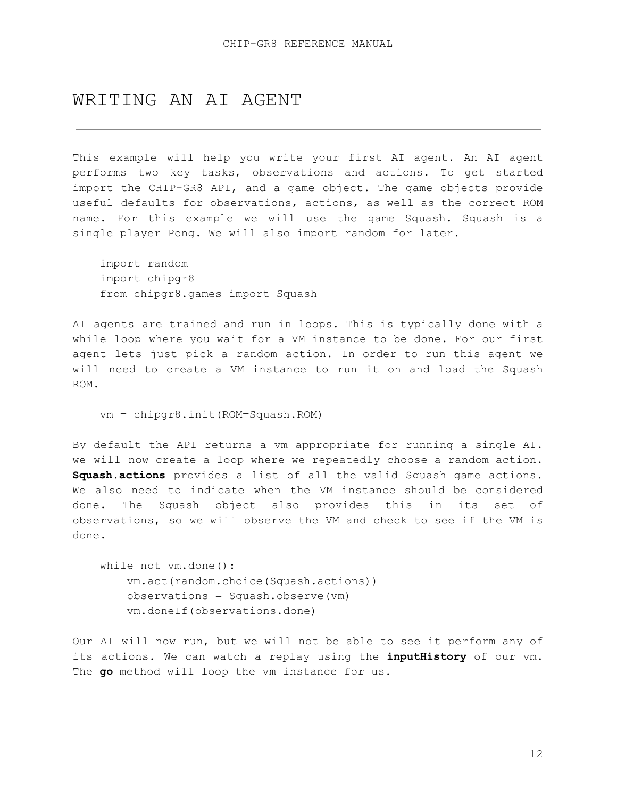# <span id="page-12-0"></span>WRITING AN AI AGENT

This example will help you write your first AI agent. An AI agent performs two key tasks, observations and actions. To get started import the CHIP-GR8 API, and a game object. The game objects provide useful defaults for observations, actions, as well as the correct ROM name. For this example we will use the game Squash. Squash is a single player Pong. We will also import random for later.

import random import chipgr8 from chipgr8.games import Squash

AI agents are trained and run in loops. This is typically done with a while loop where you wait for a VM instance to be done. For our first agent lets just pick a random action. In order to run this agent we will need to create a VM instance to run it on and load the Squash ROM.

```
vm = chipgr8.init(ROM=Squash.ROM)
```
By default the API returns a vm appropriate for running a single AI. we will now create a loop where we repeatedly choose a random action. **Squash.actions** provides a list of all the valid Squash game actions. We also need to indicate when the VM instance should be considered done. The Squash object also provides this in its set of observations, so we will observe the VM and check to see if the VM is done.

while not vm.done(): vm.act(random.choice(Squash.actions)) observations = Squash.observe(vm) vm.doneIf(observations.done)

Our AI will now run, but we will not be able to see it perform any of its actions. We can watch a replay using the **inputHistory** of our vm. The **go** method will loop the vm instance for us.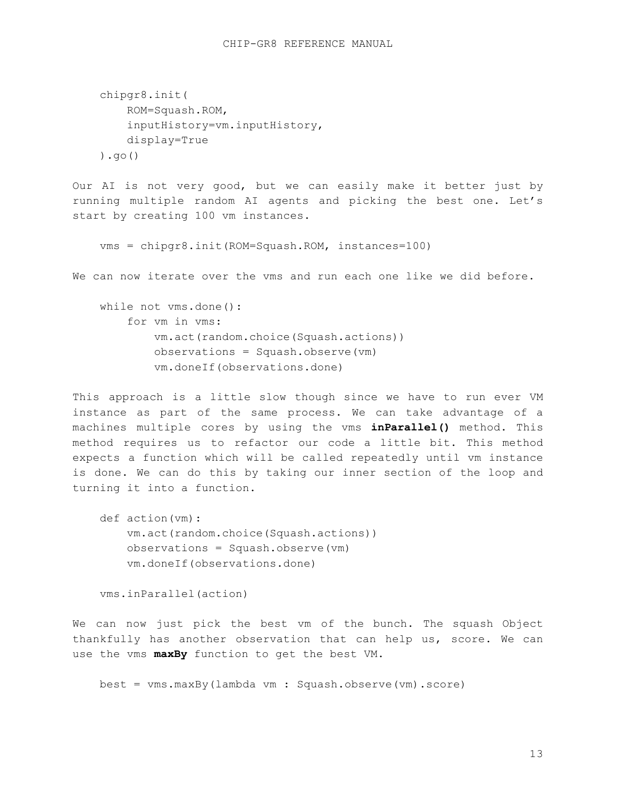```
chipgr8.init(
    ROM=Squash.ROM,
    inputHistory=vm.inputHistory,
    display=True
).go()
```
Our AI is not very good, but we can easily make it better just by running multiple random AI agents and picking the best one. Let's start by creating 100 vm instances.

```
vms = chipgr8.init(ROM=Squash.ROM, instances=100)
```
We can now iterate over the vms and run each one like we did before.

```
while not vms.done():
    for vm in vms:
        vm.act(random.choice(Squash.actions))
        observations = Squash.observe(vm)
        vm.doneIf(observations.done)
```
This approach is a little slow though since we have to run ever VM instance as part of the same process. We can take advantage of a machines multiple cores by using the vms **inParallel()** method. This method requires us to refactor our code a little bit. This method expects a function which will be called repeatedly until vm instance is done. We can do this by taking our inner section of the loop and turning it into a function.

```
def action(vm):
    vm.act(random.choice(Squash.actions))
    observations = Squash.observe(vm)
    vm.doneIf(observations.done)
```
vms.inParallel(action)

We can now just pick the best vm of the bunch. The squash Object thankfully has another observation that can help us, score. We can use the vms **maxBy** function to get the best VM.

best = vms.maxBy(lambda vm : Squash.observe(vm).score)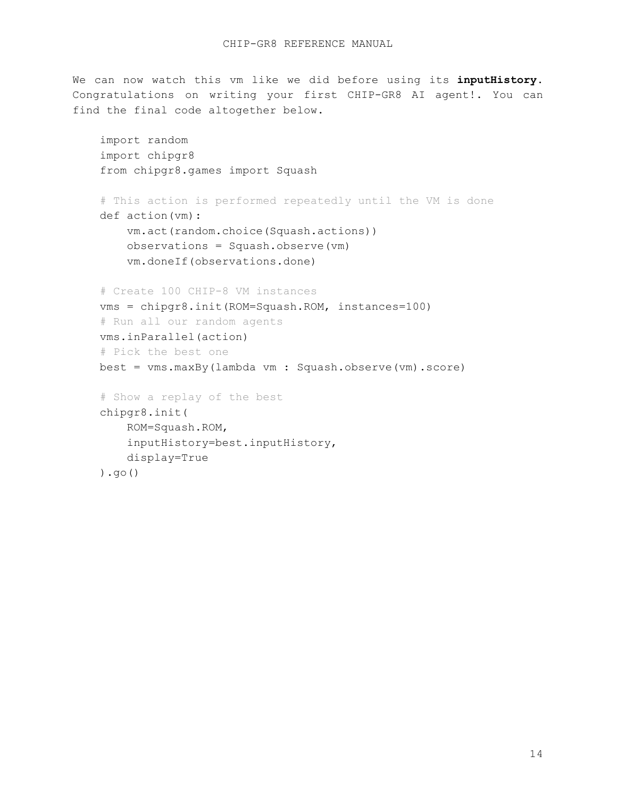We can now watch this vm like we did before using its **inputHistory**. Congratulations on writing your first CHIP-GR8 AI agent!. You can find the final code altogether below.

```
import random
import chipgr8
from chipgr8.games import Squash
# This action is performed repeatedly until the VM is done
def action(vm):
    vm.act(random.choice(Squash.actions))
    observations = Squash.observe(vm)
    vm.doneIf(observations.done)
# Create 100 CHIP-8 VM instances
vms = chipgr8.init(ROM=Squash.ROM, instances=100)
# Run all our random agents
vms.inParallel(action)
# Pick the best one
best = vms.maxBy(lambda vm : Squash.observe(vm).score)
# Show a replay of the best
chipgr8.init(
    ROM=Squash.ROM,
    inputHistory=best.inputHistory,
    display=True
).go()
```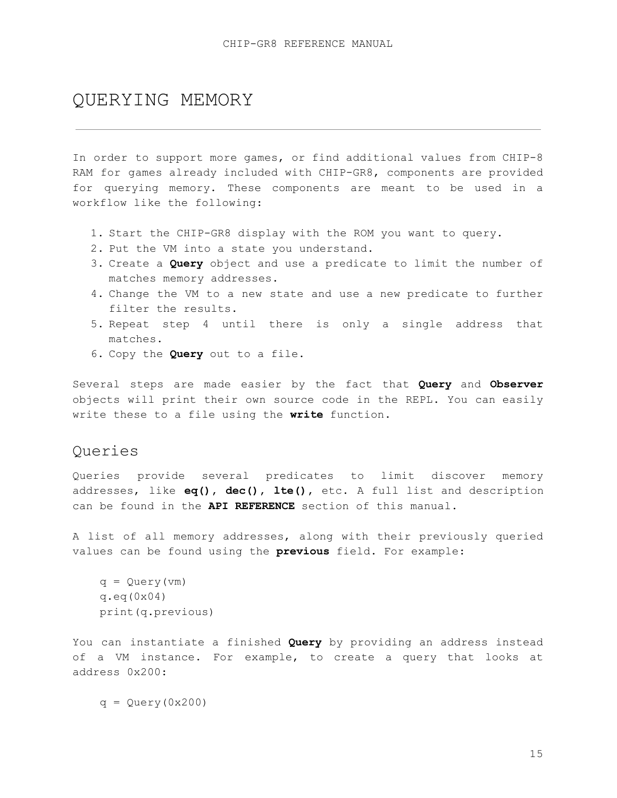# <span id="page-15-0"></span>QUERYING MEMORY

In order to support more games, or find additional values from CHIP-8 RAM for games already included with CHIP-GR8, components are provided for querying memory. These components are meant to be used in a workflow like the following:

- 1. Start the CHIP-GR8 display with the ROM you want to query.
- 2. Put the VM into a state you understand.
- 3. Create a **Query** object and use a predicate to limit the number of matches memory addresses.
- 4. Change the VM to a new state and use a new predicate to further filter the results.
- 5. Repeat step 4 until there is only a single address that matches.
- 6. Copy the **Query** out to a file.

Several steps are made easier by the fact that **Query** and **Observer** objects will print their own source code in the REPL. You can easily write these to a file using the **write** function.

# <span id="page-15-1"></span>Queries

Queries provide several predicates to limit discover memory addresses, like **eq(), dec(), lte(),** etc. A full list and description can be found in the **API REFERENCE** section of this manual.

A list of all memory addresses, along with their previously queried values can be found using the **previous** field. For example:

```
q = Query (vm)
q.eq(0x04)
print(q.previous)
```
You can instantiate a finished **Query** by providing an address instead of a VM instance. For example, to create a query that looks at address 0x200:

 $q =$  Query (0x200)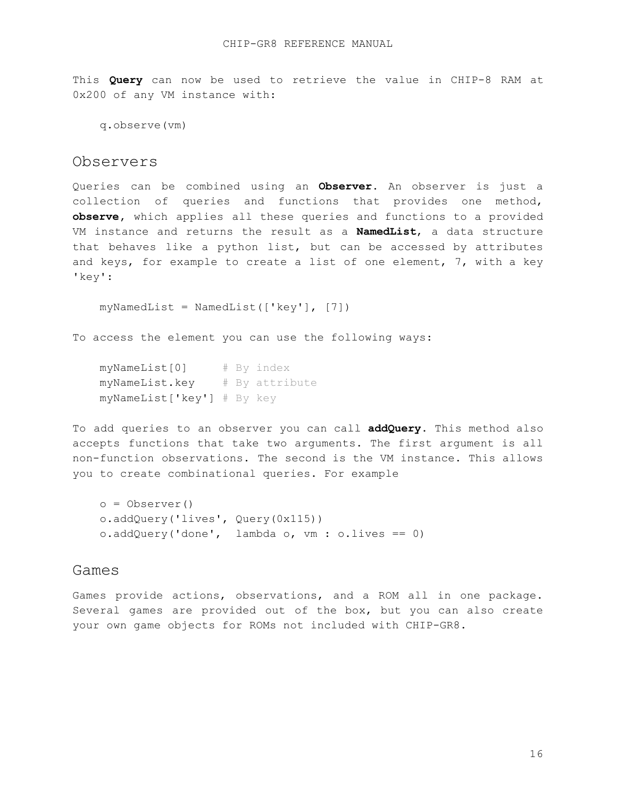This **Query** can now be used to retrieve the value in CHIP-8 RAM at 0x200 of any VM instance with:

q.observe(vm)

# <span id="page-16-0"></span>Observers

Queries can be combined using an **Observer.** An observer is just a collection of queries and functions that provides one method, **observe,** which applies all these queries and functions to a provided VM instance and returns the result as a **NamedList**, a data structure that behaves like a python list, but can be accessed by attributes and keys, for example to create a list of one element, 7, with a key 'key':

```
myNamedList = NamedList(['key'], [7])
```
To access the element you can use the following ways:

myNameList[0] # By index myNameList.key # By attribute myNameList['key'] # By key

To add queries to an observer you can call **addQuery**. This method also accepts functions that take two arguments. The first argument is all non-function observations. The second is the VM instance. This allows you to create combinational queries. For example

```
o = Observer()
o.addQuery('lives', Query(0x115))
o.addQuery('done', lambda o, vm : o.lives == 0)
```
# <span id="page-16-1"></span>Games

Games provide actions, observations, and a ROM all in one package. Several games are provided out of the box, but you can also create your own game objects for ROMs not included with CHIP-GR8.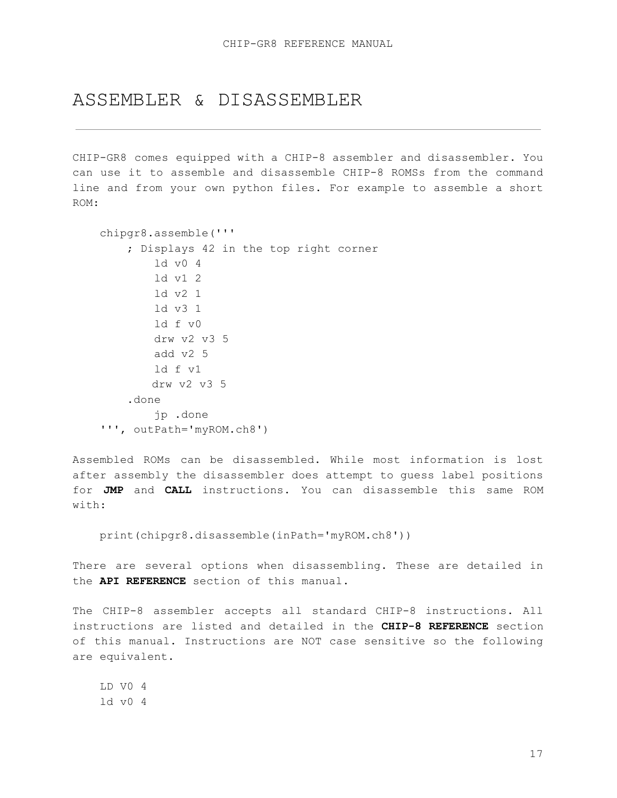# <span id="page-17-0"></span>ASSEMBLER & DISASSEMBLER

CHIP-GR8 comes equipped with a CHIP-8 assembler and disassembler. You can use it to assemble and disassemble CHIP-8 ROMSs from the command line and from your own python files. For example to assemble a short ROM:

```
chipgr8.assemble('''
    ; Displays 42 in the top right corner
        ld v0 4
        ld v1 2
        ld v2 1
        ld v3 1
        ld f v0
        drw v2 v3 5
        add v2 5
        ld f v1
        drw v2 v3 5
    .done
        jp .done
''', outPath='myROM.ch8')
```
Assembled ROMs can be disassembled. While most information is lost after assembly the disassembler does attempt to guess label positions for **JMP** and **CALL** instructions. You can disassemble this same ROM with:

```
print(chipgr8.disassemble(inPath='myROM.ch8'))
```
There are several options when disassembling. These are detailed in the **API REFERENCE** section of this manual.

The CHIP-8 assembler accepts all standard CHIP-8 instructions. All instructions are listed and detailed in the **CHIP-8 REFERENCE** section of this manual. Instructions are NOT case sensitive so the following are equivalent.

LD V0 4 ld v0 4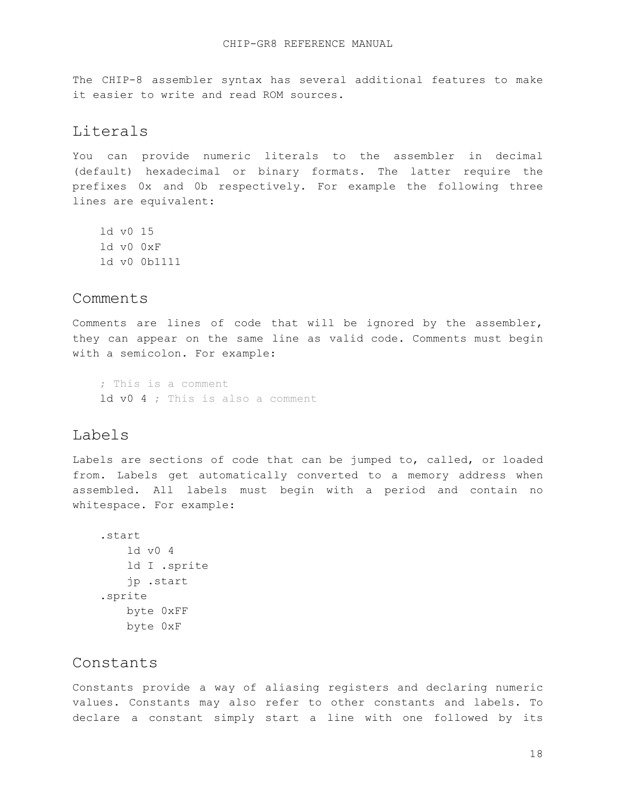The CHIP-8 assembler syntax has several additional features to make it easier to write and read ROM sources.

# <span id="page-18-0"></span>Literals

You can provide numeric literals to the assembler in decimal (default) hexadecimal or binary formats. The latter require the prefixes 0x and 0b respectively. For example the following three lines are equivalent:

ld v0 15 ld v0 0xF ld v0 0b1111

# <span id="page-18-1"></span>Comments

Comments are lines of code that will be ignored by the assembler, they can appear on the same line as valid code. Comments must begin with a semicolon. For example:

; This is a comment ld v0 4 ; This is also a comment

# <span id="page-18-2"></span>Labels

Labels are sections of code that can be jumped to, called, or loaded from. Labels get automatically converted to a memory address when assembled. All labels must begin with a period and contain no whitespace. For example:

```
.start
    ld v0 4
    ld I .sprite
    jp .start
.sprite
    byte 0xFF
   byte 0xF
```
# <span id="page-18-3"></span>Constants

Constants provide a way of aliasing registers and declaring numeric values. Constants may also refer to other constants and labels. To declare a constant simply start a line with one followed by its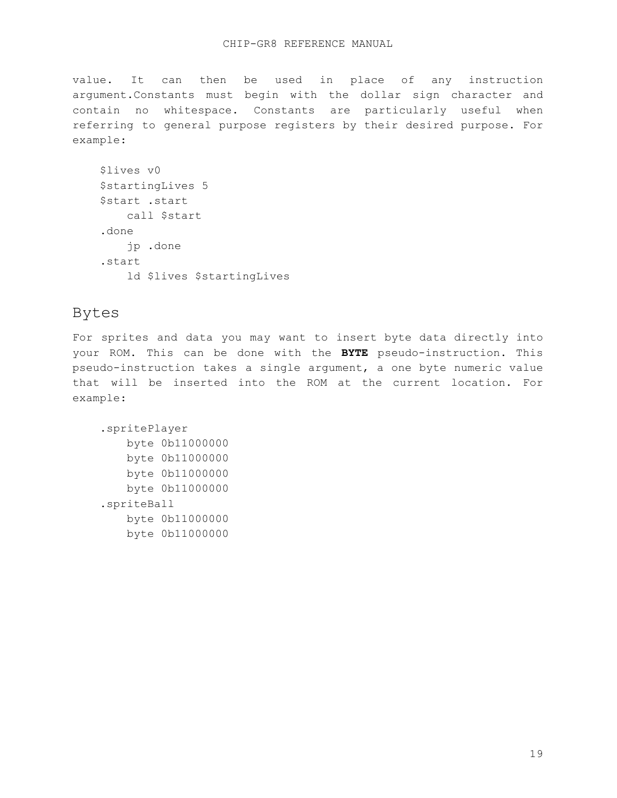value. It can then be used in place of any instruction argument.Constants must begin with the dollar sign character and contain no whitespace. Constants are particularly useful when referring to general purpose registers by their desired purpose. For example:

```
$lives v0
$startingLives 5
$start .start
    call $start
.done
    jp .done
.start
    ld $lives $startingLives
```
# <span id="page-19-0"></span>Bytes

For sprites and data you may want to insert byte data directly into your ROM. This can be done with the **BYTE** pseudo-instruction. This pseudo-instruction takes a single argument, a one byte numeric value that will be inserted into the ROM at the current location. For example:

```
.spritePlayer
   byte 0b11000000
   byte 0b11000000
   byte 0b11000000
   byte 0b11000000
.spriteBall
   byte 0b11000000
   byte 0b11000000
```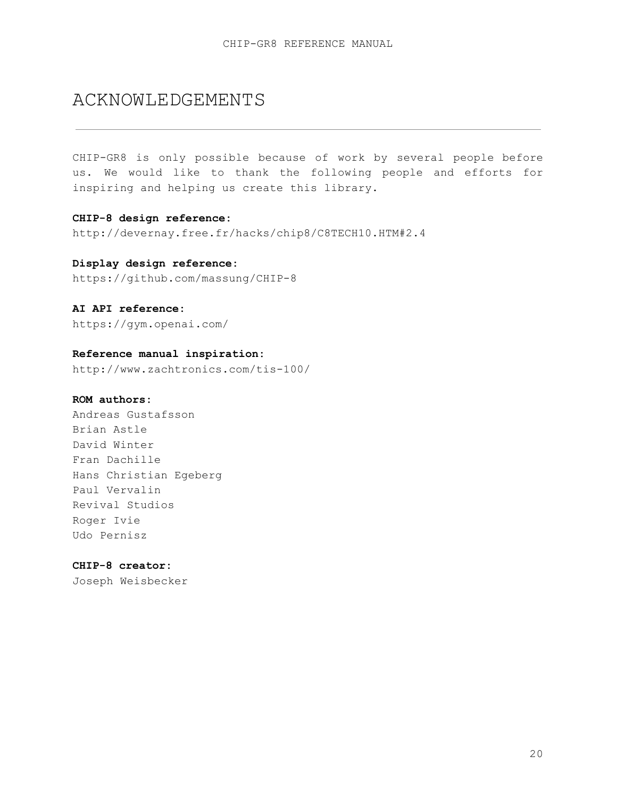# <span id="page-20-0"></span>ACKNOWLEDGEMENTS

CHIP-GR8 is only possible because of work by several people before us. We would like to thank the following people and efforts for inspiring and helping us create this library.

# **CHIP-8 design reference:**

http://devernay.free.fr/hacks/chip8/C8TECH10.HTM#2.4

**Display design reference:** https://github.com/massung/CHIP-8

**AI API reference:** https://gym.openai.com/

**Reference manual inspiration:** http://www.zachtronics.com/tis-100/

# **ROM authors:**

Andreas Gustafsson Brian Astle David Winter Fran Dachille Hans Christian Egeberg Paul Vervalin Revival Studios Roger Ivie Udo Pernisz

# **CHIP-8 creator:**

Joseph Weisbecker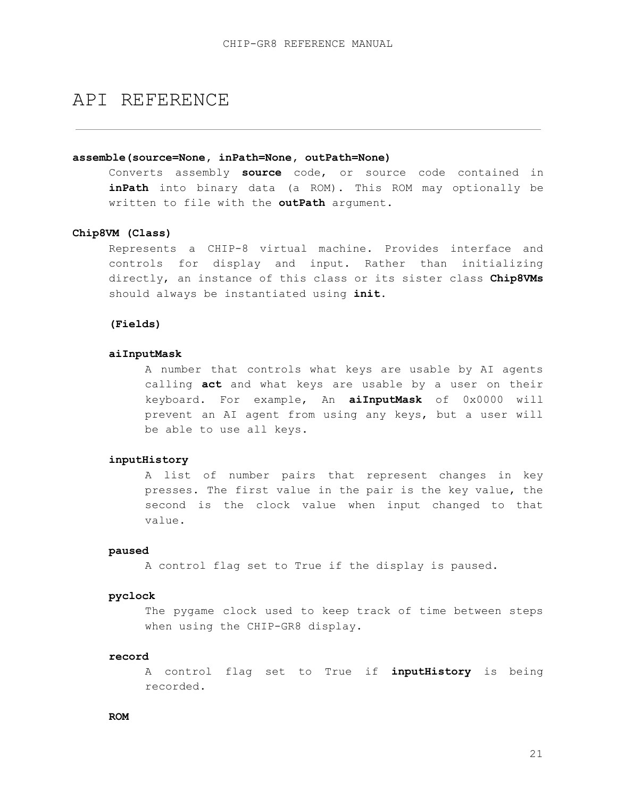# <span id="page-21-0"></span>API REFERENCE

#### **assemble(source=None, inPath=None, outPath=None)**

Converts assembly **source** code, or source code contained in **inPath** into binary data (a ROM). This ROM may optionally be written to file with the **outPath** argument.

#### **Chip8VM (Class)**

Represents a CHIP-8 virtual machine. Provides interface and controls for display and input. Rather than initializing directly, an instance of this class or its sister class **Chip8VMs** should always be instantiated using **init**.

#### **(Fields)**

### **aiInputMask**

A number that controls what keys are usable by AI agents calling **act** and what keys are usable by a user on their keyboard. For example, An **aiInputMask** of 0x0000 will prevent an AI agent from using any keys, but a user will be able to use all keys.

#### **inputHistory**

A list of number pairs that represent changes in key presses. The first value in the pair is the key value, the second is the clock value when input changed to that value.

#### **paused**

A control flag set to True if the display is paused.

#### **pyclock**

The pygame clock used to keep track of time between steps when using the CHIP-GR8 display.

#### **record**

A control flag set to True if **inputHistory** is being recorded.

#### **ROM**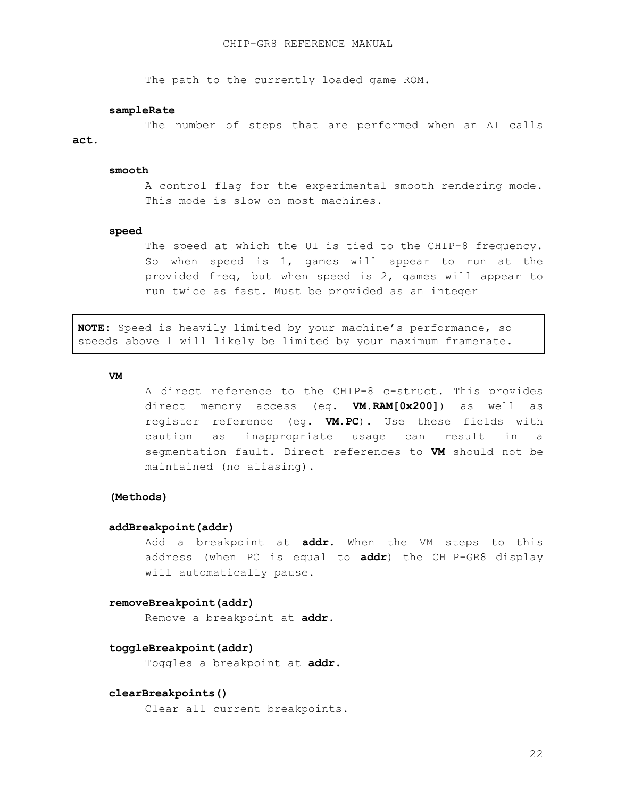The path to the currently loaded game ROM.

#### **sampleRate**

The number of steps that are performed when an AI calls **act**.

#### **smooth**

A control flag for the experimental smooth rendering mode. This mode is slow on most machines.

#### **speed**

The speed at which the UI is tied to the CHIP-8 frequency. So when speed is 1, games will appear to run at the provided freq, but when speed is 2, games will appear to run twice as fast. Must be provided as an integer

**NOTE:** Speed is heavily limited by your machine's performance, so speeds above 1 will likely be limited by your maximum framerate.

#### **VM**

A direct reference to the CHIP-8 c-struct. This provides direct memory access (eg. **VM.RAM[0x200]**) as well as register reference (eg. **VM.PC**). Use these fields with caution as inappropriate usage can result in a segmentation fault. Direct references to **VM** should not be maintained (no aliasing).

#### **(Methods)**

#### **addBreakpoint(addr)**

Add a breakpoint at **addr**. When the VM steps to this address (when PC is equal to **addr**) the CHIP-GR8 display will automatically pause.

#### **removeBreakpoint(addr)**

Remove a breakpoint at **addr**.

# **toggleBreakpoint(addr)**

Toggles a breakpoint at **addr**.

# **clearBreakpoints()**

Clear all current breakpoints.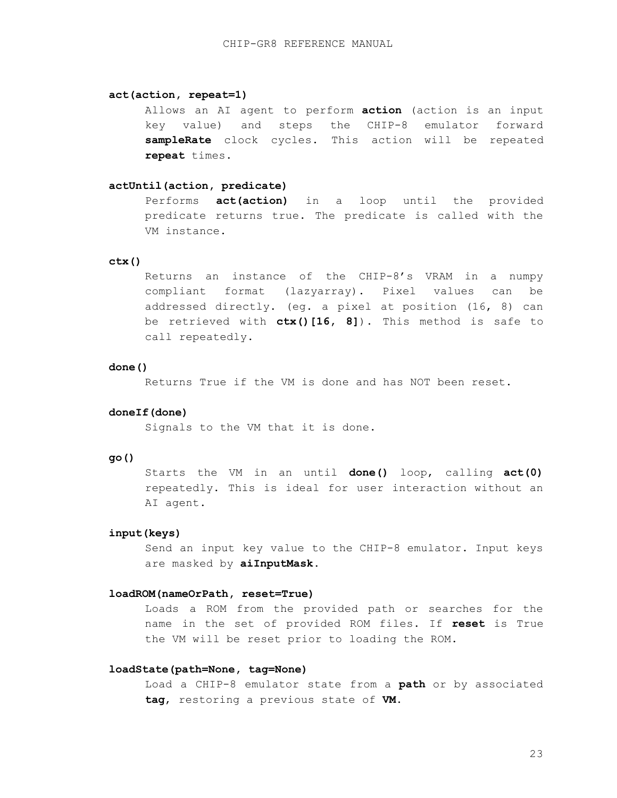# **act(action, repeat=1)**

Allows an AI agent to perform **action** (action is an input key value) and steps the CHIP-8 emulator forward **sampleRate** clock cycles. This action will be repeated **repeat** times.

### **actUntil(action, predicate)**

Performs **act(action)** in a loop until the provided predicate returns true. The predicate is called with the VM instance.

# **ctx()**

Returns an instance of the CHIP-8's VRAM in a numpy compliant format (lazyarray). Pixel values can be addressed directly. (eg. a pixel at position (16, 8) can be retrieved with **ctx()[16, 8]**). This method is safe to call repeatedly.

#### **done()**

Returns True if the VM is done and has NOT been reset.

#### **doneIf(done)**

Signals to the VM that it is done.

#### **go()**

Starts the VM in an until **done()** loop, calling **act(0)** repeatedly. This is ideal for user interaction without an AI agent.

#### **input(keys)**

Send an input key value to the CHIP-8 emulator. Input keys are masked by **aiInputMask**.

#### **loadROM(nameOrPath, reset=True)**

Loads a ROM from the provided path or searches for the name in the set of provided ROM files. If **reset** is True the VM will be reset prior to loading the ROM.

#### **loadState(path=None, tag=None)**

Load a CHIP-8 emulator state from a **path** or by associated **tag**, restoring a previous state of **VM**.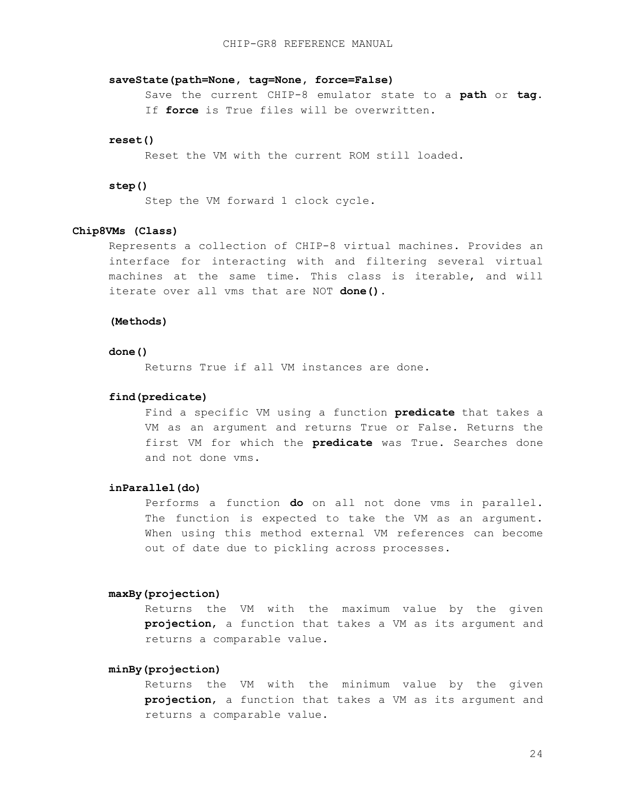#### **saveState(path=None, tag=None, force=False)**

Save the current CHIP-8 emulator state to a **path** or **tag**. If **force** is True files will be overwritten.

#### **reset()**

Reset the VM with the current ROM still loaded.

#### **step()**

Step the VM forward 1 clock cycle.

# **Chip8VMs (Class)**

Represents a collection of CHIP-8 virtual machines. Provides an interface for interacting with and filtering several virtual machines at the same time. This class is iterable, and will iterate over all vms that are NOT **done()**.

#### **(Methods)**

# **done()**

Returns True if all VM instances are done.

#### **find(predicate)**

Find a specific VM using a function **predicate** that takes a VM as an argument and returns True or False. Returns the first VM for which the **predicate** was True. Searches done and not done vms.

# **inParallel(do)**

Performs a function **do** on all not done vms in parallel. The function is expected to take the VM as an argument. When using this method external VM references can become out of date due to pickling across processes.

#### **maxBy(projection)**

Returns the VM with the maximum value by the given **projection**, a function that takes a VM as its argument and returns a comparable value.

#### **minBy(projection)**

Returns the VM with the minimum value by the given **projection**, a function that takes a VM as its argument and returns a comparable value.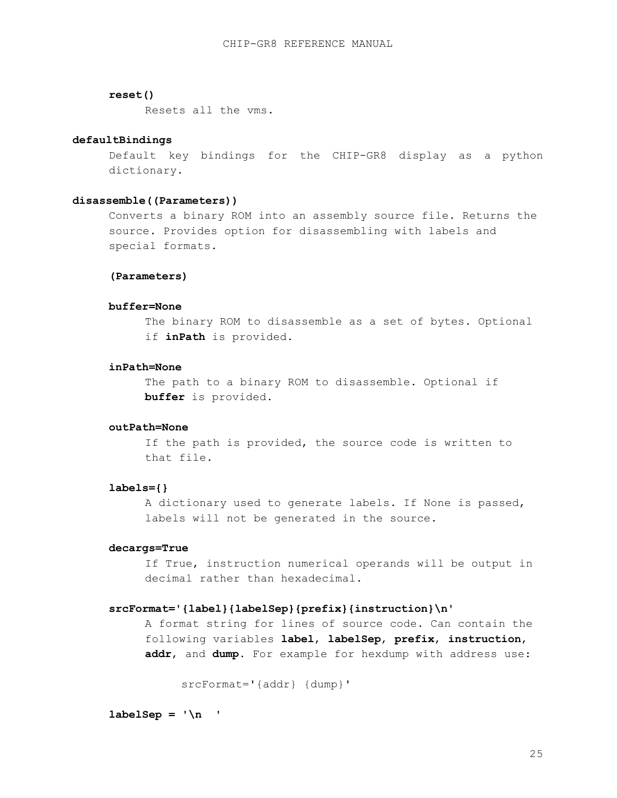### **reset()**

Resets all the vms.

# **defaultBindings**

Default key bindings for the CHIP-GR8 display as a python dictionary.

# **disassemble((Parameters))**

Converts a binary ROM into an assembly source file. Returns the source. Provides option for disassembling with labels and special formats.

#### **(Parameters)**

#### **buffer=None**

The binary ROM to disassemble as a set of bytes. Optional if **inPath** is provided.

# **inPath=None**

The path to a binary ROM to disassemble. Optional if **buffer** is provided.

# **outPath=None**

If the path is provided, the source code is written to that file.

# **labels={}**

A dictionary used to generate labels. If None is passed, labels will not be generated in the source.

### **decargs=True**

If True, instruction numerical operands will be output in decimal rather than hexadecimal.

# **srcFormat='{label}{labelSep}{prefix}{instruction}\n'**

A format string for lines of source code. Can contain the following variables **label**, **labelSep**, **prefix**, **instruction**, **addr**, and **dump**. For example for hexdump with address use:

srcFormat='{addr} {dump}'

 $labeledSep = ' \n\cdot l'$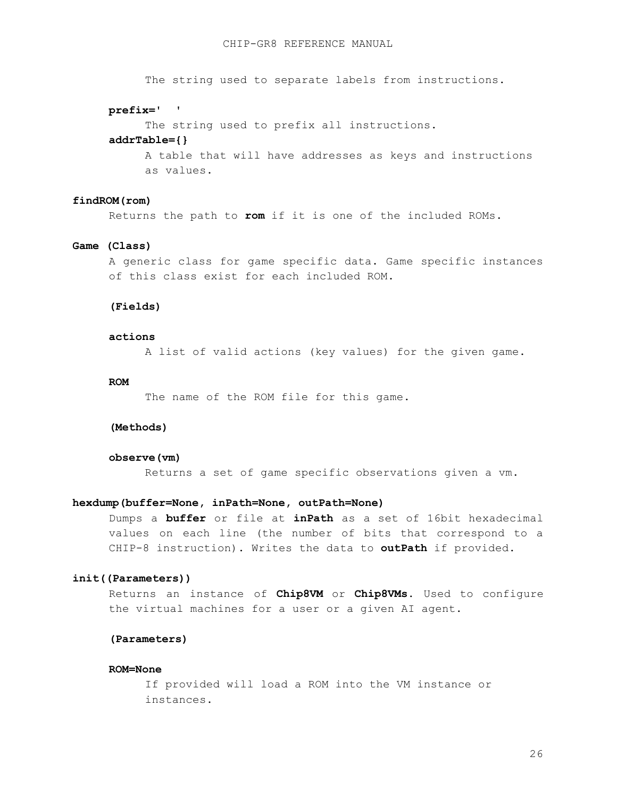The string used to separate labels from instructions.

#### **prefix=' '**

The string used to prefix all instructions.

# **addrTable={}**

A table that will have addresses as keys and instructions as values.

# **findROM(rom)**

Returns the path to **rom** if it is one of the included ROMs.

### **Game (Class)**

A generic class for game specific data. Game specific instances of this class exist for each included ROM.

# **(Fields)**

#### **actions**

A list of valid actions (key values) for the given game.

# **ROM**

The name of the ROM file for this game.

# **(Methods)**

#### **observe(vm)**

Returns a set of game specific observations given a vm.

#### **hexdump(buffer=None, inPath=None, outPath=None)**

Dumps a **buffer** or file at **inPath** as a set of 16bit hexadecimal values on each line (the number of bits that correspond to a CHIP-8 instruction). Writes the data to **outPath** if provided.

#### **init((Parameters))**

Returns an instance of **Chip8VM** or **Chip8VMs**. Used to configure the virtual machines for a user or a given AI agent.

#### **(Parameters)**

### **ROM=None**

If provided will load a ROM into the VM instance or instances.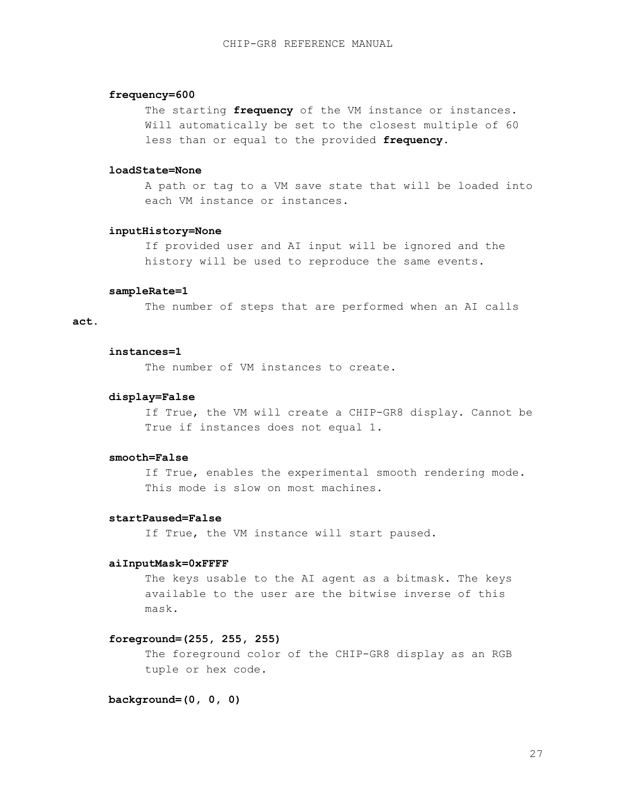#### **frequency=600**

The starting **frequency** of the VM instance or instances. Will automatically be set to the closest multiple of 60 less than or equal to the provided **frequency**.

#### **loadState=None**

A path or tag to a VM save state that will be loaded into each VM instance or instances.

# **inputHistory=None**

If provided user and AI input will be ignored and the history will be used to reproduce the same events.

# **sampleRate=1**

The number of steps that are performed when an AI calls

# **act**.

# **instances=1**

The number of VM instances to create.

#### **display=False**

If True, the VM will create a CHIP-GR8 display. Cannot be True if instances does not equal 1.

# **smooth=False**

If True, enables the experimental smooth rendering mode. This mode is slow on most machines.

#### **startPaused=False**

If True, the VM instance will start paused.

#### **aiInputMask=0xFFFF**

The keys usable to the AI agent as a bitmask. The keys available to the user are the bitwise inverse of this mask.

# **foreground=(255, 255, 255)**

The foreground color of the CHIP-GR8 display as an RGB tuple or hex code.

# **background=(0, 0, 0)**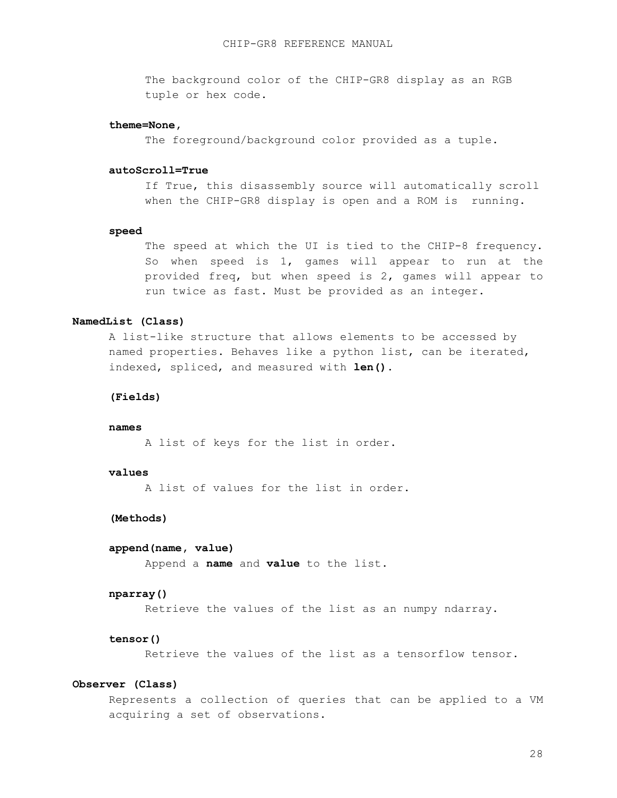The background color of the CHIP-GR8 display as an RGB tuple or hex code.

#### **theme=None,**

The foreground/background color provided as a tuple.

#### **autoScroll=True**

If True, this disassembly source will automatically scroll when the CHIP-GR8 display is open and a ROM is running.

#### **speed**

The speed at which the UI is tied to the CHIP-8 frequency. So when speed is 1, games will appear to run at the provided freq, but when speed is 2, games will appear to run twice as fast. Must be provided as an integer.

# **NamedList (Class)**

A list-like structure that allows elements to be accessed by named properties. Behaves like a python list, can be iterated, indexed, spliced, and measured with **len()**.

# **(Fields)**

#### **names**

A list of keys for the list in order.

### **values**

A list of values for the list in order.

#### **(Methods)**

### **append(name, value)**

Append a **name** and **value** to the list.

### **nparray()**

Retrieve the values of the list as an numpy ndarray.

# **tensor()**

Retrieve the values of the list as a tensorflow tensor.

### **Observer (Class)**

Represents a collection of queries that can be applied to a VM acquiring a set of observations.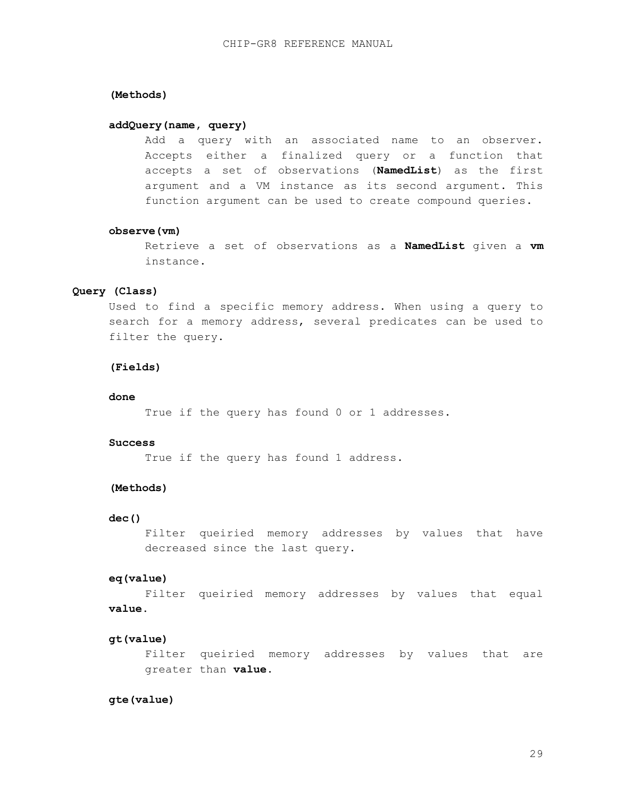# **(Methods)**

#### **addQuery(name, query)**

Add a query with an associated name to an observer. Accepts either a finalized query or a function that accepts a set of observations (**NamedList**) as the first argument and a VM instance as its second argument. This function argument can be used to create compound queries.

#### **observe(vm)**

Retrieve a set of observations as a **NamedList** given a **vm** instance.

# **Query (Class)**

Used to find a specific memory address. When using a query to search for a memory address, several predicates can be used to filter the query.

# **(Fields)**

#### **done**

True if the query has found 0 or 1 addresses.

#### **Success**

True if the query has found 1 address.

# **(Methods)**

#### **dec()**

Filter queiried memory addresses by values that have decreased since the last query.

#### **eq(value)**

Filter queiried memory addresses by values that equal **value**.

#### **gt(value)**

Filter queiried memory addresses by values that are greater than **value**.

#### **gte(value)**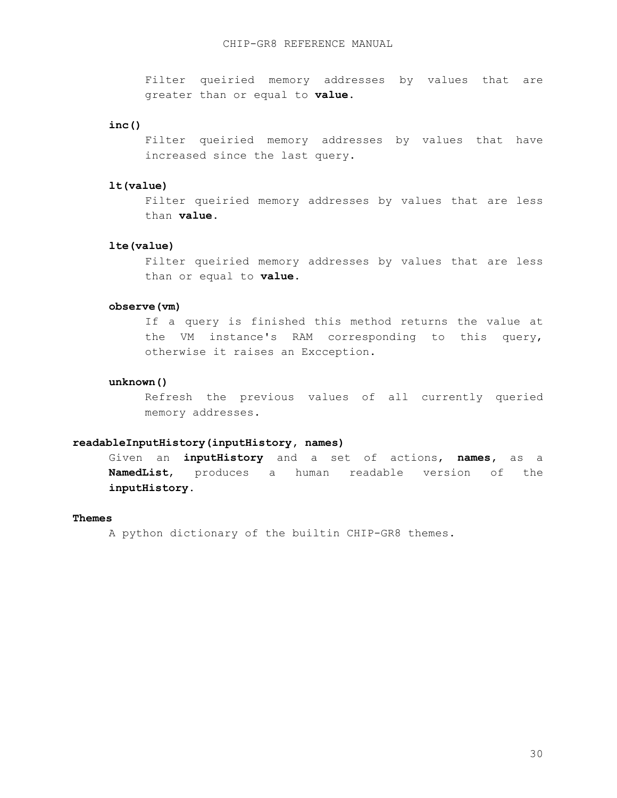Filter queiried memory addresses by values that are greater than or equal to **value**.

#### **inc()**

Filter queiried memory addresses by values that have increased since the last query.

### **lt(value)**

Filter queiried memory addresses by values that are less than **value**.

### **lte(value)**

Filter queiried memory addresses by values that are less than or equal to **value**.

# **observe(vm)**

If a query is finished this method returns the value at the VM instance's RAM corresponding to this query, otherwise it raises an Excception.

# **unknown()**

Refresh the previous values of all currently queried memory addresses.

# **readableInputHistory(inputHistory, names)**

Given an **inputHistory** and a set of actions, **names,** as a **NamedList**, produces a human readable version of the **inputHistory.**

#### **Themes**

A python dictionary of the builtin CHIP-GR8 themes.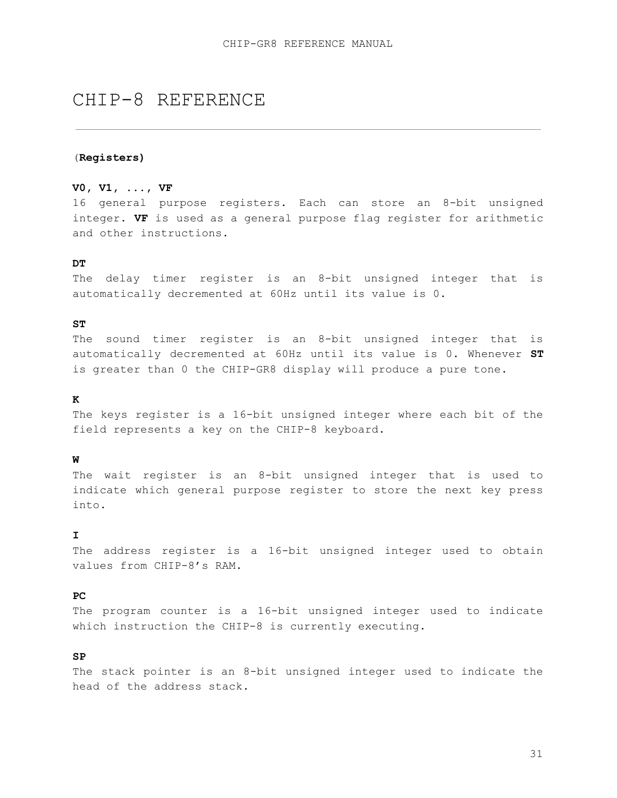# <span id="page-31-0"></span>CHIP-8 REFERENCE

#### (**Registers)**

#### **V0, V1, ..., VF**

16 general purpose registers. Each can store an 8-bit unsigned integer. **VF** is used as a general purpose flag register for arithmetic and other instructions.

#### **DT**

The delay timer register is an 8-bit unsigned integer that is automatically decremented at 60Hz until its value is 0.

### **ST**

The sound timer register is an 8-bit unsigned integer that is automatically decremented at 60Hz until its value is 0. Whenever **ST** is greater than 0 the CHIP-GR8 display will produce a pure tone.

## **K**

The keys register is a 16-bit unsigned integer where each bit of the field represents a key on the CHIP-8 keyboard.

#### **W**

The wait register is an 8-bit unsigned integer that is used to indicate which general purpose register to store the next key press into.

### **I**

The address register is a 16-bit unsigned integer used to obtain values from CHIP-8's RAM.

#### **PC**

The program counter is a 16-bit unsigned integer used to indicate which instruction the CHIP-8 is currently executing.

#### **SP**

The stack pointer is an 8-bit unsigned integer used to indicate the head of the address stack.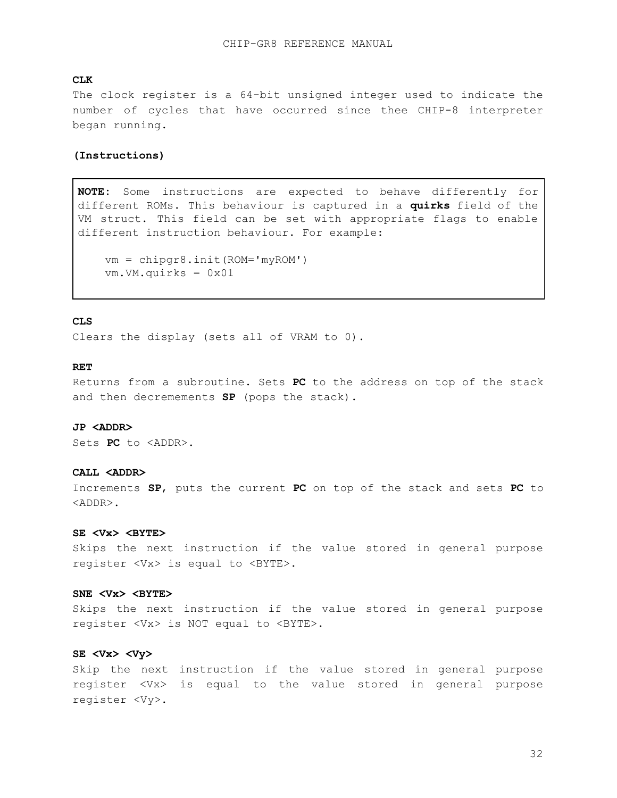#### **CLK**

The clock register is a 64-bit unsigned integer used to indicate the number of cycles that have occurred since thee CHIP-8 interpreter began running.

# **(Instructions)**

**NOTE:** Some instructions are expected to behave differently for different ROMs. This behaviour is captured in a **quirks** field of the VM struct. This field can be set with appropriate flags to enable different instruction behaviour. For example:

vm = chipgr8.init(ROM='myROM') vm.VM.quirks = 0x01

# **CLS**

Clears the display (sets all of VRAM to 0).

#### **RET**

Returns from a subroutine. Sets **PC** to the address on top of the stack and then decremements **SP** (pops the stack).

#### **JP <ADDR>**

Sets **PC** to <ADDR>.

### **CALL <ADDR>**

Increments **SP**, puts the current **PC** on top of the stack and sets **PC** to <ADDR>.

#### **SE <Vx> <BYTE>**

Skips the next instruction if the value stored in general purpose register <Vx> is equal to <BYTE>.

#### **SNE <Vx> <BYTE>**

Skips the next instruction if the value stored in general purpose register <Vx> is NOT equal to <BYTE>.

# **SE <Vx> <Vy>**

Skip the next instruction if the value stored in general purpose register <Vx> is equal to the value stored in general purpose register <Vy>.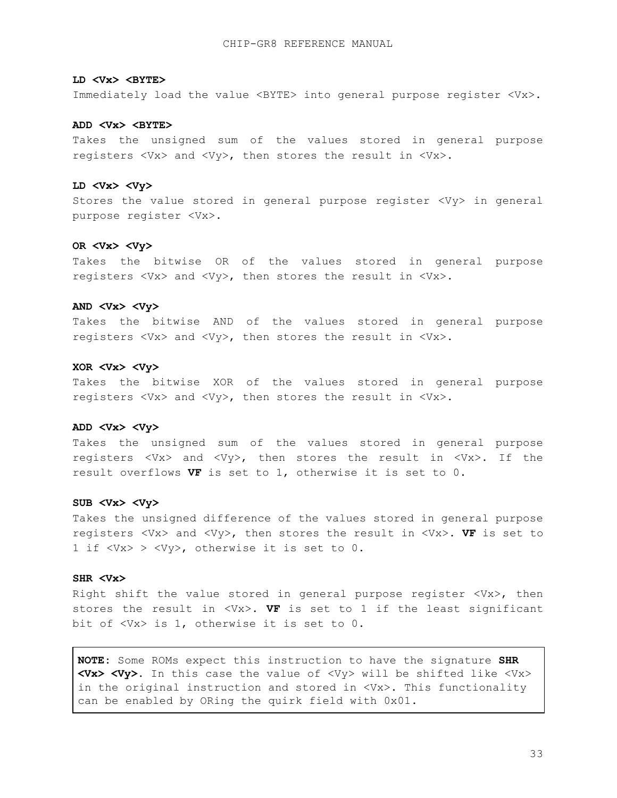#### **LD <Vx> <BYTE>**

Immediately load the value <BYTE> into general purpose register <Vx>.

#### **ADD <Vx> <BYTE>**

Takes the unsigned sum of the values stored in general purpose registers <Vx> and <Vy>, then stores the result in <Vx>.

# **LD <Vx> <Vy>**

Stores the value stored in general purpose register <Vy> in general purpose register <Vx>.

# **OR <Vx> <Vy>**

Takes the bitwise OR of the values stored in general purpose registers <Vx> and <Vy>, then stores the result in <Vx>.

#### **AND <Vx> <Vy>**

Takes the bitwise AND of the values stored in general purpose registers  $\langle Vx \rangle$  and  $\langle Vy \rangle$ , then stores the result in  $\langle Vx \rangle$ .

#### **XOR <Vx> <Vy>**

Takes the bitwise XOR of the values stored in general purpose registers  $\langle Vx \rangle$  and  $\langle Vy \rangle$ , then stores the result in  $\langle Vx \rangle$ .

#### **ADD <Vx> <Vy>**

Takes the unsigned sum of the values stored in general purpose registers <Vx> and <Vy>, then stores the result in <Vx>. If the result overflows **VF** is set to 1, otherwise it is set to 0.

#### **SUB <Vx> <Vy>**

Takes the unsigned difference of the values stored in general purpose registers <Vx> and <Vy>, then stores the result in <Vx>. **VF** is set to 1 if <Vx> > <Vy>, otherwise it is set to 0.

#### **SHR <Vx>**

Right shift the value stored in general purpose register <Vx>, then stores the result in <Vx>. **VF** is set to 1 if the least significant bit of <Vx> is 1, otherwise it is set to 0.

**NOTE:** Some ROMs expect this instruction to have the signature **SHR <Vx> <Vy>.** In this case the value of <Vy> will be shifted like <Vx> in the original instruction and stored in <Vx>. This functionality can be enabled by ORing the quirk field with 0x01.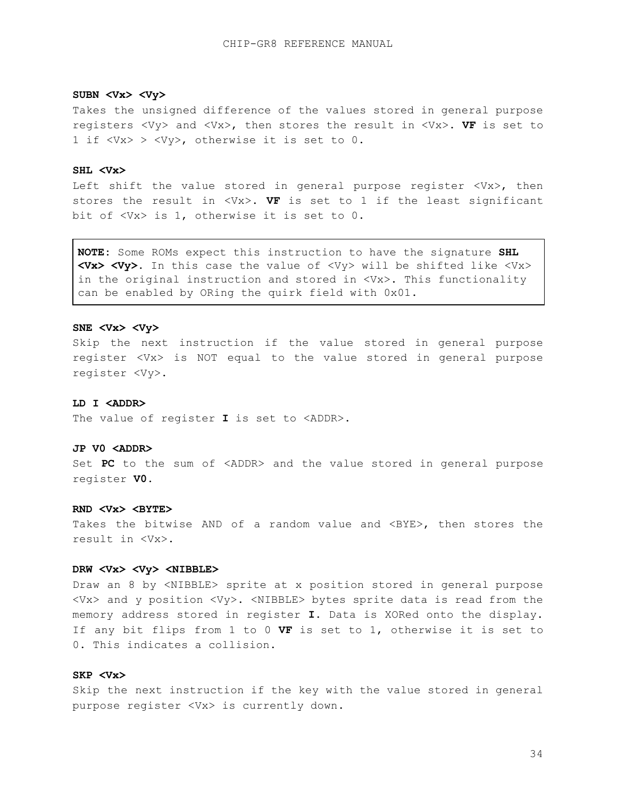#### **SUBN <Vx> <Vy>**

Takes the unsigned difference of the values stored in general purpose registers <Vy> and <Vx>, then stores the result in <Vx>. **VF** is set to 1 if  $\langle Vx \rangle$  >  $\langle Vy \rangle$ , otherwise it is set to 0.

#### **SHL <Vx>**

Left shift the value stored in general purpose register <Vx>, then stores the result in <Vx>. **VF** is set to 1 if the least significant bit of <Vx> is 1, otherwise it is set to 0.

**NOTE:** Some ROMs expect this instruction to have the signature **SHL <Vx> <Vy>.** In this case the value of <Vy> will be shifted like <Vx> in the original instruction and stored in <Vx>. This functionality can be enabled by ORing the quirk field with 0x01.

# **SNE <Vx> <Vy>**

Skip the next instruction if the value stored in general purpose register <Vx> is NOT equal to the value stored in general purpose register <Vy>.

#### **LD I <ADDR>**

The value of register **I** is set to <ADDR>.

#### **JP V0 <ADDR>**

Set **PC** to the sum of <ADDR> and the value stored in general purpose register **V0**.

#### **RND <Vx> <BYTE>**

Takes the bitwise AND of a random value and <BYE>, then stores the result in <Vx>.

#### **DRW <Vx> <Vy> <NIBBLE>**

Draw an 8 by <NIBBLE> sprite at x position stored in general purpose <Vx> and y position <Vy>. <NIBBLE> bytes sprite data is read from the memory address stored in register **I.** Data is XORed onto the display. If any bit flips from 1 to 0 **VF** is set to 1, otherwise it is set to 0. This indicates a collision.

#### **SKP <Vx>**

Skip the next instruction if the key with the value stored in general purpose register <Vx> is currently down.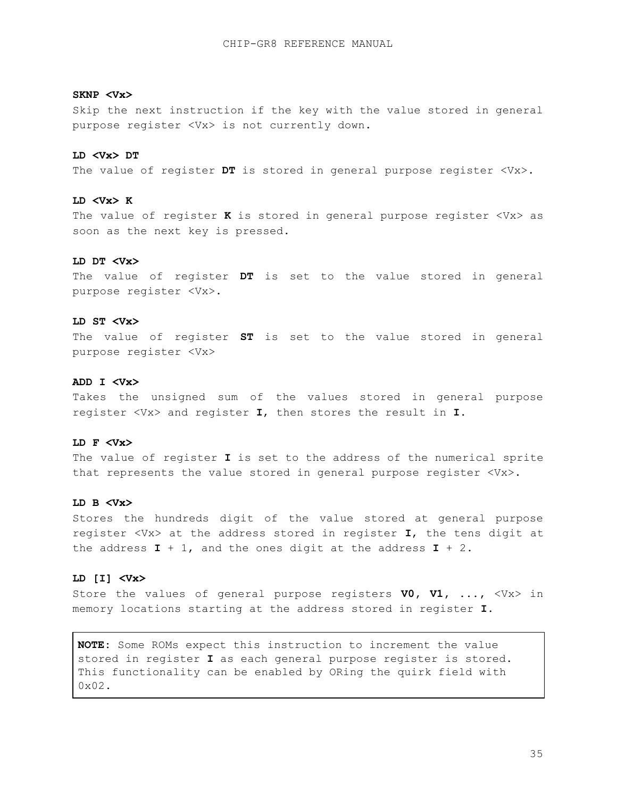#### **SKNP <Vx>**

Skip the next instruction if the key with the value stored in general purpose register <Vx> is not currently down.

# **LD <Vx> DT**

The value of register **DT** is stored in general purpose register <Vx>.

## **LD <Vx> K**

The value of register **K** is stored in general purpose register <Vx> as soon as the next key is pressed.

#### **LD DT <Vx>**

The value of register **DT** is set to the value stored in general purpose register <Vx>.

#### **LD ST <Vx>**

The value of register **ST** is set to the value stored in general purpose register <Vx>

# **ADD I <Vx>**

Takes the unsigned sum of the values stored in general purpose register <Vx> and register **I**, then stores the result in **I**.

#### **LD F <Vx>**

The value of register **I** is set to the address of the numerical sprite that represents the value stored in general purpose register <Vx>.

#### **LD B <Vx>**

Stores the hundreds digit of the value stored at general purpose register <Vx> at the address stored in register **I**, the tens digit at the address  $\mathbf{I} + 1$ , and the ones digit at the address  $\mathbf{I} + 2$ .

# **LD [I] <Vx>**

Store the values of general purpose registers **V0, V1, ...,** <Vx> in memory locations starting at the address stored in register **I**.

**NOTE:** Some ROMs expect this instruction to increment the value stored in register **I** as each general purpose register is stored. This functionality can be enabled by ORing the quirk field with 0x02.